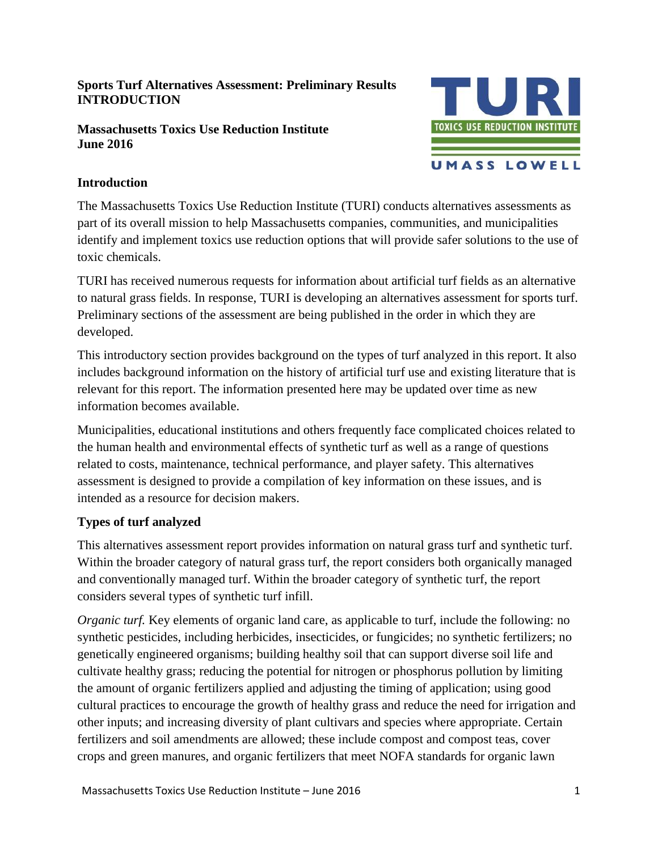### **Sports Turf Alternatives Assessment: Preliminary Results INTRODUCTION**

#### **Massachusetts Toxics Use Reduction Institute June 2016**



# **Introduction**

The Massachusetts Toxics Use Reduction Institute (TURI) conducts alternatives assessments as part of its overall mission to help Massachusetts companies, communities, and municipalities identify and implement toxics use reduction options that will provide safer solutions to the use of toxic chemicals.

TURI has received numerous requests for information about artificial turf fields as an alternative to natural grass fields. In response, TURI is developing an alternatives assessment for sports turf. Preliminary sections of the assessment are being published in the order in which they are developed.

This introductory section provides background on the types of turf analyzed in this report. It also includes background information on the history of artificial turf use and existing literature that is relevant for this report. The information presented here may be updated over time as new information becomes available.

Municipalities, educational institutions and others frequently face complicated choices related to the human health and environmental effects of synthetic turf as well as a range of questions related to costs, maintenance, technical performance, and player safety. This alternatives assessment is designed to provide a compilation of key information on these issues, and is intended as a resource for decision makers.

# **Types of turf analyzed**

This alternatives assessment report provides information on natural grass turf and synthetic turf. Within the broader category of natural grass turf, the report considers both organically managed and conventionally managed turf. Within the broader category of synthetic turf, the report considers several types of synthetic turf infill.

*Organic turf.* Key elements of organic land care, as applicable to turf, include the following: no synthetic pesticides, including herbicides, insecticides, or fungicides; no synthetic fertilizers; no genetically engineered organisms; building healthy soil that can support diverse soil life and cultivate healthy grass; reducing the potential for nitrogen or phosphorus pollution by limiting the amount of organic fertilizers applied and adjusting the timing of application; using good cultural practices to encourage the growth of healthy grass and reduce the need for irrigation and other inputs; and increasing diversity of plant cultivars and species where appropriate. Certain fertilizers and soil amendments are allowed; these include compost and compost teas, cover crops and green manures, and organic fertilizers that meet NOFA standards for organic lawn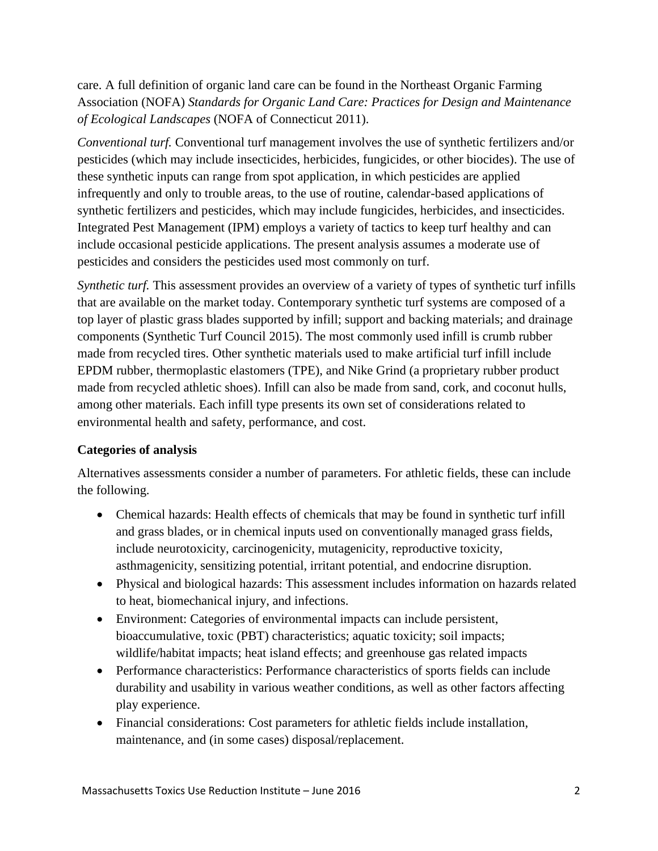care. A full definition of organic land care can be found in the Northeast Organic Farming Association (NOFA) *Standards for Organic Land Care: Practices for Design and Maintenance of Ecological Landscapes* (NOFA of Connecticut 2011).

*Conventional turf.* Conventional turf management involves the use of synthetic fertilizers and/or pesticides (which may include insecticides, herbicides, fungicides, or other biocides). The use of these synthetic inputs can range from spot application, in which pesticides are applied infrequently and only to trouble areas, to the use of routine, calendar-based applications of synthetic fertilizers and pesticides, which may include fungicides, herbicides, and insecticides. Integrated Pest Management (IPM) employs a variety of tactics to keep turf healthy and can include occasional pesticide applications. The present analysis assumes a moderate use of pesticides and considers the pesticides used most commonly on turf.

*Synthetic turf.* This assessment provides an overview of a variety of types of synthetic turf infills that are available on the market today. Contemporary synthetic turf systems are composed of a top layer of plastic grass blades supported by infill; support and backing materials; and drainage components (Synthetic Turf Council 2015). The most commonly used infill is crumb rubber made from recycled tires. Other synthetic materials used to make artificial turf infill include EPDM rubber, thermoplastic elastomers (TPE), and Nike Grind (a proprietary rubber product made from recycled athletic shoes). Infill can also be made from sand, cork, and coconut hulls, among other materials. Each infill type presents its own set of considerations related to environmental health and safety, performance, and cost.

### **Categories of analysis**

Alternatives assessments consider a number of parameters. For athletic fields, these can include the following.

- Chemical hazards: Health effects of chemicals that may be found in synthetic turf infill and grass blades, or in chemical inputs used on conventionally managed grass fields, include neurotoxicity, carcinogenicity, mutagenicity, reproductive toxicity, asthmagenicity, sensitizing potential, irritant potential, and endocrine disruption.
- Physical and biological hazards: This assessment includes information on hazards related to heat, biomechanical injury, and infections.
- Environment: Categories of environmental impacts can include persistent, bioaccumulative, toxic (PBT) characteristics; aquatic toxicity; soil impacts; wildlife/habitat impacts; heat island effects; and greenhouse gas related impacts
- Performance characteristics: Performance characteristics of sports fields can include durability and usability in various weather conditions, as well as other factors affecting play experience.
- Financial considerations: Cost parameters for athletic fields include installation, maintenance, and (in some cases) disposal/replacement.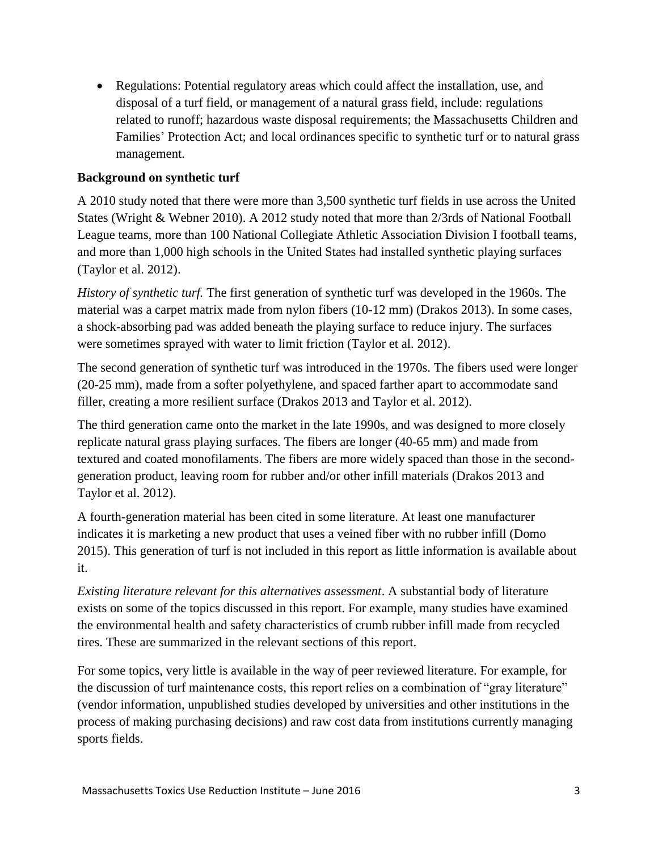• Regulations: Potential regulatory areas which could affect the installation, use, and disposal of a turf field, or management of a natural grass field, include: regulations related to runoff; hazardous waste disposal requirements; the Massachusetts Children and Families' Protection Act; and local ordinances specific to synthetic turf or to natural grass management.

# **Background on synthetic turf**

A 2010 study noted that there were more than 3,500 synthetic turf fields in use across the United States (Wright & Webner 2010). A 2012 study noted that more than 2/3rds of National Football League teams, more than 100 National Collegiate Athletic Association Division I football teams, and more than 1,000 high schools in the United States had installed synthetic playing surfaces (Taylor et al. 2012).

*History of synthetic turf.* The first generation of synthetic turf was developed in the 1960s. The material was a carpet matrix made from nylon fibers (10-12 mm) (Drakos 2013). In some cases, a shock-absorbing pad was added beneath the playing surface to reduce injury. The surfaces were sometimes sprayed with water to limit friction (Taylor et al. 2012).

The second generation of synthetic turf was introduced in the 1970s. The fibers used were longer (20-25 mm), made from a softer polyethylene, and spaced farther apart to accommodate sand filler, creating a more resilient surface (Drakos 2013 and Taylor et al. 2012).

The third generation came onto the market in the late 1990s, and was designed to more closely replicate natural grass playing surfaces. The fibers are longer (40-65 mm) and made from textured and coated monofilaments. The fibers are more widely spaced than those in the secondgeneration product, leaving room for rubber and/or other infill materials (Drakos 2013 and Taylor et al. 2012).

A fourth-generation material has been cited in some literature. At least one manufacturer indicates it is marketing a new product that uses a veined fiber with no rubber infill (Domo 2015). This generation of turf is not included in this report as little information is available about it.

*Existing literature relevant for this alternatives assessment*. A substantial body of literature exists on some of the topics discussed in this report. For example, many studies have examined the environmental health and safety characteristics of crumb rubber infill made from recycled tires. These are summarized in the relevant sections of this report.

For some topics, very little is available in the way of peer reviewed literature. For example, for the discussion of turf maintenance costs, this report relies on a combination of "gray literature" (vendor information, unpublished studies developed by universities and other institutions in the process of making purchasing decisions) and raw cost data from institutions currently managing sports fields.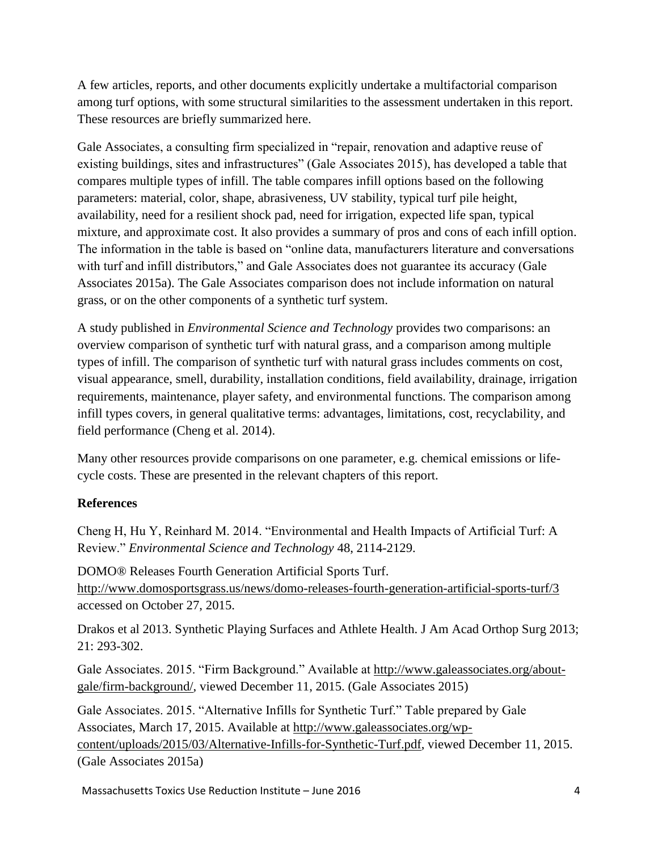A few articles, reports, and other documents explicitly undertake a multifactorial comparison among turf options, with some structural similarities to the assessment undertaken in this report. These resources are briefly summarized here.

Gale Associates, a consulting firm specialized in "repair, renovation and adaptive reuse of existing buildings, sites and infrastructures" (Gale Associates 2015), has developed a table that compares multiple types of infill. The table compares infill options based on the following parameters: material, color, shape, abrasiveness, UV stability, typical turf pile height, availability, need for a resilient shock pad, need for irrigation, expected life span, typical mixture, and approximate cost. It also provides a summary of pros and cons of each infill option. The information in the table is based on "online data, manufacturers literature and conversations with turf and infill distributors," and Gale Associates does not guarantee its accuracy (Gale Associates 2015a). The Gale Associates comparison does not include information on natural grass, or on the other components of a synthetic turf system.

A study published in *Environmental Science and Technology* provides two comparisons: an overview comparison of synthetic turf with natural grass, and a comparison among multiple types of infill. The comparison of synthetic turf with natural grass includes comments on cost, visual appearance, smell, durability, installation conditions, field availability, drainage, irrigation requirements, maintenance, player safety, and environmental functions. The comparison among infill types covers, in general qualitative terms: advantages, limitations, cost, recyclability, and field performance (Cheng et al. 2014).

Many other resources provide comparisons on one parameter, e.g. chemical emissions or lifecycle costs. These are presented in the relevant chapters of this report.

### **References**

Cheng H, Hu Y, Reinhard M. 2014. "Environmental and Health Impacts of Artificial Turf: A Review." *Environmental Science and Technology* 48, 2114-2129.

DOMO® Releases Fourth Generation Artificial Sports Turf. <http://www.domosportsgrass.us/news/domo-releases-fourth-generation-artificial-sports-turf/3> accessed on October 27, 2015.

Drakos et al 2013. Synthetic Playing Surfaces and Athlete Health. J Am Acad Orthop Surg 2013; 21: 293-302.

Gale Associates. 2015. "Firm Background." Available at [http://www.galeassociates.org/about](http://www.galeassociates.org/about-gale/firm-background/)[gale/firm-background/,](http://www.galeassociates.org/about-gale/firm-background/) viewed December 11, 2015. (Gale Associates 2015)

Gale Associates. 2015. "Alternative Infills for Synthetic Turf." Table prepared by Gale Associates, March 17, 2015. Available at [http://www.galeassociates.org/wp](http://www.galeassociates.org/wp-content/uploads/2015/03/Alternative-Infills-for-Synthetic-Turf.pdf)[content/uploads/2015/03/Alternative-Infills-for-Synthetic-Turf.pdf,](http://www.galeassociates.org/wp-content/uploads/2015/03/Alternative-Infills-for-Synthetic-Turf.pdf) viewed December 11, 2015. (Gale Associates 2015a)